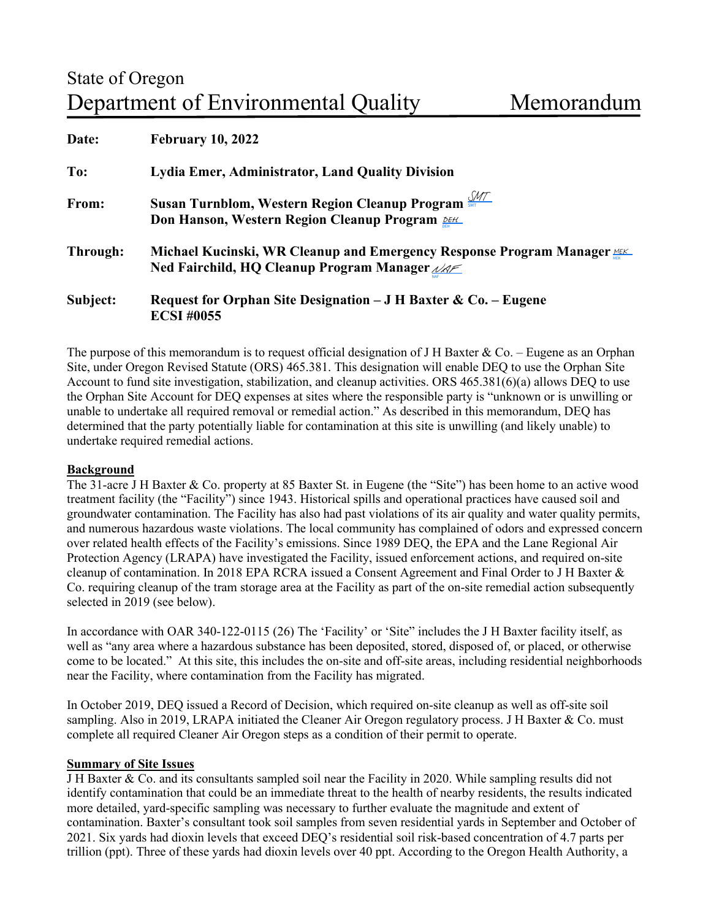| Date:    | <b>February 10, 2022</b>                                                                                                     |
|----------|------------------------------------------------------------------------------------------------------------------------------|
| To:      | Lydia Emer, Administrator, Land Quality Division                                                                             |
| From:    | Susan Turnblom, Western Region Cleanup Program<br>Don Hanson, Western Region Cleanup Program DEHL                            |
| Through: | Michael Kucinski, WR Cleanup and Emergency Response Program Manager<br>Ned Fairchild, HQ Cleanup Program Manager $\sqrt{AC}$ |
| Subject: | Request for Orphan Site Designation $-JH$ Baxter & Co. – Eugene<br><b>ECSI #0055</b>                                         |

The purpose of this memorandum is to request official designation of J H Baxter & Co. – Eugene as an Orphan Site, under Oregon Revised Statute (ORS) 465.381. This designation will enable DEQ to use the Orphan Site Account to fund site investigation, stabilization, and cleanup activities. ORS 465.381(6)(a) allows DEQ to use the Orphan Site Account for DEQ expenses at sites where the responsible party is "unknown or is unwilling or unable to undertake all required removal or remedial action." As described in this memorandum, DEQ has determined that the party potentially liable for contamination at this site is unwilling (and likely unable) to undertake required remedial actions.

## **Background**

The 31-acre J H Baxter & Co. property at 85 Baxter St. in Eugene (the "Site") has been home to an active wood treatment facility (the "Facility") since 1943. Historical spills and operational practices have caused soil and groundwater contamination. The Facility has also had past violations of its air quality and water quality permits, and numerous hazardous waste violations. The local community has complained of odors and expressed concern over related health effects of the Facility's emissions. Since 1989 DEQ, the EPA and the Lane Regional Air Protection Agency (LRAPA) have investigated the Facility, issued enforcement actions, and required on-site cleanup of contamination. In 2018 EPA RCRA issued a Consent Agreement and Final Order to J H Baxter & Co. requiring cleanup of the tram storage area at the Facility as part of the on-site remedial action subsequently selected in 2019 (see below).

In accordance with OAR 340-122-0115 (26) The 'Facility' or 'Site" includes the J H Baxter facility itself, as well as "any area where a hazardous substance has been deposited, stored, disposed of, or placed, or otherwise come to be located." At this site, this includes the on-site and off-site areas, including residential neighborhoods near the Facility, where contamination from the Facility has migrated.

In October 2019, DEQ issued a Record of Decision, which required on-site cleanup as well as off-site soil sampling. Also in 2019, LRAPA initiated the Cleaner Air Oregon regulatory process. J H Baxter & Co. must complete all required Cleaner Air Oregon steps as a condition of their permit to operate.

### **Summary of Site Issues**

J H Baxter & Co. and its consultants sampled soil near the Facility in 2020. While sampling results did not identify contamination that could be an immediate threat to the health of nearby residents, the results indicated more detailed, yard-specific sampling was necessary to further evaluate the magnitude and extent of contamination. Baxter's consultant took soil samples from seven residential yards in September and October of 2021. Six yards had dioxin levels that exceed DEQ's residential soil risk-based concentration of 4.7 parts per trillion (ppt). Three of these yards had dioxin levels over 40 ppt. According to the Oregon Health Authority, a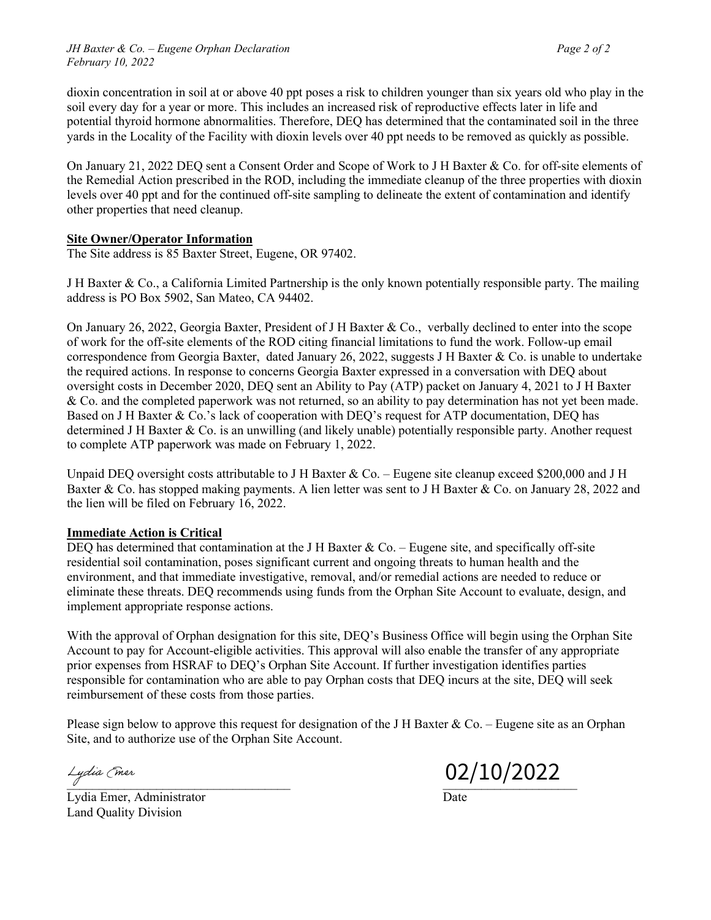dioxin concentration in soil at or above 40 ppt poses a risk to children younger than six years old who play in the soil every day for a year or more. This includes an increased risk of reproductive effects later in life and potential thyroid hormone abnormalities. Therefore, DEQ has determined that the contaminated soil in the three yards in the Locality of the Facility with dioxin levels over 40 ppt needs to be removed as quickly as possible.

On January 21, 2022 DEQ sent a Consent Order and Scope of Work to J H Baxter & Co. for off-site elements of the Remedial Action prescribed in the ROD, including the immediate cleanup of the three properties with dioxin levels over 40 ppt and for the continued off-site sampling to delineate the extent of contamination and identify other properties that need cleanup.

## **Site Owner/Operator Information**

The Site address is 85 Baxter Street, Eugene, OR 97402.

J H Baxter & Co., a California Limited Partnership is the only known potentially responsible party. The mailing address is PO Box 5902, San Mateo, CA 94402.

On January 26, 2022, Georgia Baxter, President of J H Baxter & Co., verbally declined to enter into the scope of work for the off-site elements of the ROD citing financial limitations to fund the work. Follow-up email correspondence from Georgia Baxter, dated January 26, 2022, suggests J H Baxter & Co. is unable to undertake the required actions. In response to concerns Georgia Baxter expressed in a conversation with DEQ about oversight costs in December 2020, DEQ sent an Ability to Pay (ATP) packet on January 4, 2021 to J H Baxter & Co. and the completed paperwork was not returned, so an ability to pay determination has not yet been made. Based on J H Baxter & Co.'s lack of cooperation with DEQ's request for ATP documentation, DEQ has determined J H Baxter & Co. is an unwilling (and likely unable) potentially responsible party. Another request to complete ATP paperwork was made on February 1, 2022.

Unpaid DEQ oversight costs attributable to J H Baxter  $\&$  Co. – Eugene site cleanup exceed \$200,000 and J H Baxter & Co. has stopped making payments. A lien letter was sent to J H Baxter & Co. on January 28, 2022 and the lien will be filed on February 16, 2022.

## **Immediate Action is Critical**

DEO has determined that contamination at the J H Baxter  $& Co. - Eugene$  site, and specifically off-site residential soil contamination, poses significant current and ongoing threats to human health and the environment, and that immediate investigative, removal, and/or remedial actions are needed to reduce or eliminate these threats. DEQ recommends using funds from the Orphan Site Account to evaluate, design, and implement appropriate response actions.

With the approval of Orphan designation for this site, DEQ's Business Office will begin using the Orphan Site Account to pay for Account-eligible activities. This approval will also enable the transfer of any appropriate prior expenses from HSRAF to DEQ's Orphan Site Account. If further investigation identifies parties responsible for contamination who are able to pay Orphan costs that DEQ incurs at the site, DEQ will seek reimbursement of these costs from those parties.

Please sign below to approve this request for designation of the J H Baxter & Co. – Eugene site as an Orphan Site, and to authorize use of the Orphan Site Account.

Lydia Emer, Administrator Date Land Quality Division

 $\frac{L_{\text{y}}}{\sqrt{2}}$  Cmsr  $\frac{02}{10/2022}$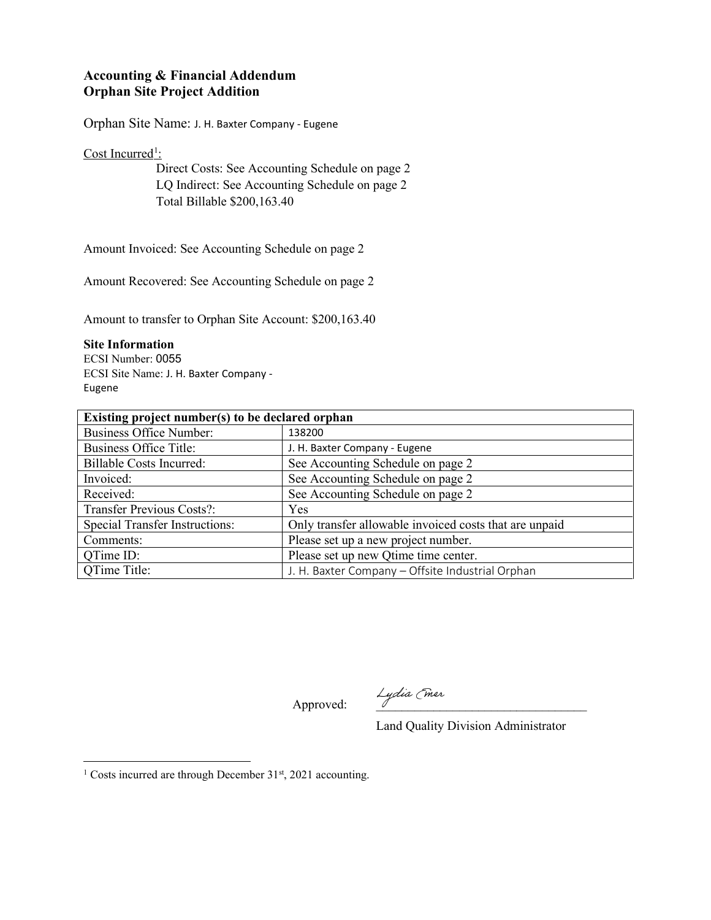# **Accounting & Financial Addendum Orphan Site Project Addition**

Orphan Site Name: J. H. Baxter Company - Eugene

Cost Incurred<sup>[1](#page-2-0)</sup>:

Direct Costs: See Accounting Schedule on page 2 LQ Indirect: See Accounting Schedule on page 2 Total Billable \$200,163.40

Amount Invoiced: See Accounting Schedule on page 2

Amount Recovered: See Accounting Schedule on page 2

Amount to transfer to Orphan Site Account: \$200,163.40

## **Site Information**

ECSI Number: 0055 ECSI Site Name: J. H. Baxter Company - Eugene

| Existing project number(s) to be declared orphan |                                                        |  |  |
|--------------------------------------------------|--------------------------------------------------------|--|--|
| <b>Business Office Number:</b>                   | 138200                                                 |  |  |
| <b>Business Office Title:</b>                    | J. H. Baxter Company - Eugene                          |  |  |
| <b>Billable Costs Incurred:</b>                  | See Accounting Schedule on page 2                      |  |  |
| Invoiced:                                        | See Accounting Schedule on page 2                      |  |  |
| Received:                                        | See Accounting Schedule on page 2                      |  |  |
| <b>Transfer Previous Costs?:</b>                 | Yes                                                    |  |  |
| <b>Special Transfer Instructions:</b>            | Only transfer allowable invoiced costs that are unpaid |  |  |
| Comments:                                        | Please set up a new project number.                    |  |  |
| QTime ID:                                        | Please set up new Qtime time center.                   |  |  |
| OTime Title:                                     | J. H. Baxter Company - Offsite Industrial Orphan       |  |  |

Approved: Lydia (mer

Land Quality Division Administrator

<span id="page-2-0"></span><sup>&</sup>lt;sup>1</sup> Costs incurred are through December  $31<sup>st</sup>$ , 2021 accounting.